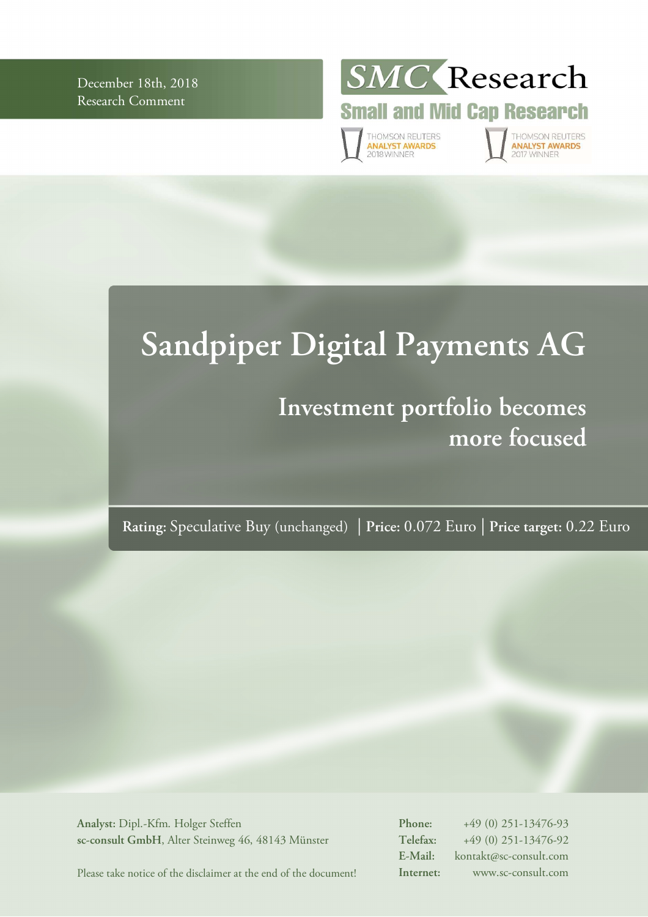December 18th, 2018 Research Comment



**Small and Mid Cap Research** 

THOMSON REUTERS<br>**ANALYST AWARDS**<br>2018 WINNER

THOMSON REUTERS<br>**ANALYST AWARDS** O17 WINNER

# **Sandpiper Digital Payments AG**

# **Investment portfolio becomes more focused**

**Rating:** Speculative Buy (unchanged) | **Price:** 0.072 Euro | **Price target:** 0.22 Euro

**Analyst:** Dipl.-Kfm. Holger Steffen **sc-consult GmbH**, Alter Steinweg 46, 48143 Münster **Phone:** +49 (0) 251-13476-93 **Telefax:** +49 (0) 251-13476-92 **E-Mail:** kontakt@sc-consult.com **Internet:** www.sc-consult.com

Please take notice of the disclaimer at the end of the document!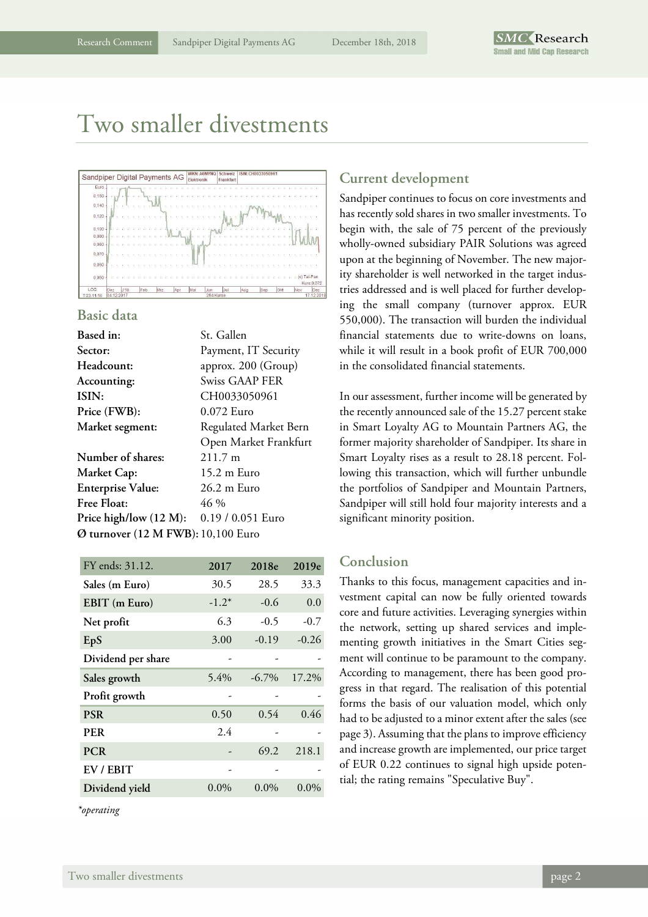### Two smaller divestments



### **Basic data**

| Based in:                          | St. Gallen            |
|------------------------------------|-----------------------|
| Sector:                            | Payment, IT Security  |
| Headcount:                         | approx. 200 (Group)   |
| Accounting:                        | Swiss GAAP FER        |
| ISIN:                              | CH0033050961          |
| Price (FWB):                       | 0.072 Euro            |
| <b>Market segment:</b>             | Regulated Market Bern |
|                                    | Open Market Frankfurt |
| Number of shares:                  | $211.7 \text{ m}$     |
| <b>Market Cap:</b>                 | 15.2 m Euro           |
| <b>Enterprise Value:</b>           | 26.2 m Euro           |
| <b>Free Float:</b>                 | 46 %                  |
| Price high/low (12 M):             | 0.19 / 0.051 Euro     |
| Ø turnover (12 M FWB): 10,100 Euro |                       |
|                                    |                       |

| FY ends: 31.12.    | 2017    | 2018e    | 2019e   |
|--------------------|---------|----------|---------|
| Sales (m Euro)     | 30.5    | 28.5     | 33.3    |
| EBIT (m Euro)      | $-1.2*$ | $-0.6$   | 0.0     |
| Net profit         | 6.3     | $-0.5$   | $-0.7$  |
| EpS                | 3.00    | $-0.19$  | $-0.26$ |
| Dividend per share |         |          |         |
| Sales growth       | 5.4%    | $-6.7\%$ | 17.2%   |
| Profit growth      |         |          |         |
| <b>PSR</b>         | 0.50    | 0.54     | 0.46    |
| <b>PER</b>         | 2.4     |          |         |
| <b>PCR</b>         |         | 69.2     | 218.1   |
| EV / EBIT          |         |          |         |
| Dividend yield     | $0.0\%$ | $0.0\%$  | $0.0\%$ |
|                    |         |          |         |

*\*operating* 

### **Current development**

Sandpiper continues to focus on core investments and has recently sold shares in two smaller investments. To begin with, the sale of 75 percent of the previously wholly-owned subsidiary PAIR Solutions was agreed upon at the beginning of November. The new majority shareholder is well networked in the target industries addressed and is well placed for further developing the small company (turnover approx. EUR 550,000). The transaction will burden the individual financial statements due to write-downs on loans, while it will result in a book profit of EUR 700,000 in the consolidated financial statements.

In our assessment, further income will be generated by the recently announced sale of the 15.27 percent stake in Smart Loyalty AG to Mountain Partners AG, the former majority shareholder of Sandpiper. Its share in Smart Loyalty rises as a result to 28.18 percent. Following this transaction, which will further unbundle the portfolios of Sandpiper and Mountain Partners, Sandpiper will still hold four majority interests and a significant minority position.

### **Conclusion**

Thanks to this focus, management capacities and investment capital can now be fully oriented towards core and future activities. Leveraging synergies within the network, setting up shared services and implementing growth initiatives in the Smart Cities segment will continue to be paramount to the company. According to management, there has been good progress in that regard. The realisation of this potential forms the basis of our valuation model, which only had to be adjusted to a minor extent after the sales (see page 3). Assuming that the plans to improve efficiency and increase growth are implemented, our price target of EUR 0.22 continues to signal high upside potential; the rating remains "Speculative Buy".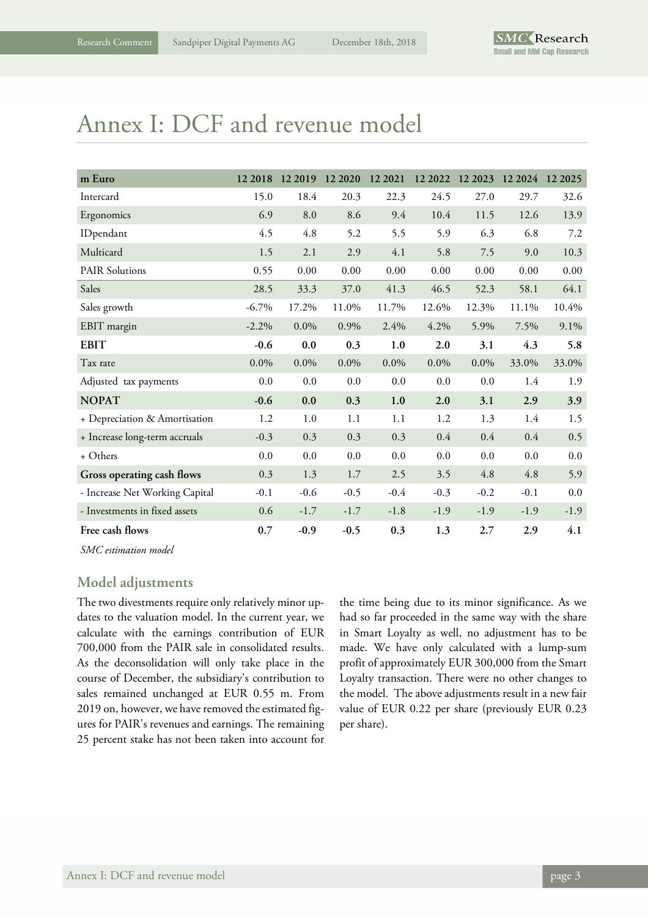## Annex I: DCF and revenue model

| m Euro                         | 12 2018  | 12 2019 | 12 20 20 | 12 2021 | 12 2022 | 12 2023 | 12 2024 | 12 20 25 |
|--------------------------------|----------|---------|----------|---------|---------|---------|---------|----------|
| Intercard                      | 15.0     | 18.4    | 20.3     | 22.3    | 24.5    | 27.0    | 29.7    | 32.6     |
| Ergonomics                     | 6.9      | 8.0     | 8.6      | 9.4     | 10.4    | 11.5    | 12.6    | 13.9     |
| IDpendant                      | 4.5      | 4.8     | 5.2      | 5.5     | 5.9     | 6.3     | 6.8     | 7.2      |
| Multicard                      | 1.5      | 2.1     | 2.9      | 4.1     | 5.8     | 7.5     | 9.0     | 10.3     |
| <b>PAIR Solutions</b>          | 0.55     | 0.00    | 0.00     | 0.00    | 0.00    | 0.00    | 0.00    | 0.00     |
| Sales                          | 28.5     | 33.3    | 37.0     | 41.3    | 46.5    | 52.3    | 58.1    | 64.1     |
| Sales growth                   | $-6.7\%$ | 17.2%   | 11.0%    | 11.7%   | 12.6%   | 12.3%   | 11.1%   | 10.4%    |
| EBIT margin                    | $-2.2%$  | $0.0\%$ | 0.9%     | 2.4%    | 4.2%    | 5.9%    | 7.5%    | 9.1%     |
| <b>EBIT</b>                    | $-0.6$   | 0.0     | 0.3      | 1.0     | 2.0     | 3.1     | 4.3     | 5.8      |
| Tax rate                       | 0.0%     | $0.0\%$ | $0.0\%$  | $0.0\%$ | $0.0\%$ | $0.0\%$ | 33.0%   | 33.0%    |
| Adjusted tax payments          | 0.0      | 0.0     | 0.0      | 0.0     | 0.0     | 0.0     | 1.4     | 1.9      |
| <b>NOPAT</b>                   | $-0.6$   | 0.0     | 0.3      | $1.0$   | 2.0     | 3.1     | 2.9     | 3.9      |
| + Depreciation & Amortisation  | 1.2      | 1.0     | 1.1      | 1.1     | 1.2     | 1.3     | 1.4     | 1.5      |
| + Increase long-term accruals  | $-0.3$   | 0.3     | 0.3      | 0.3     | 0.4     | 0.4     | 0.4     | 0.5      |
| + Others                       | 0.0      | 0.0     | 0.0      | 0.0     | 0.0     | 0.0     | 0.0     | 0.0      |
| Gross operating cash flows     | 0.3      | 1.3     | 1.7      | 2.5     | 3.5     | 4.8     | 4.8     | 5.9      |
| - Increase Net Working Capital | $-0.1$   | $-0.6$  | $-0.5$   | $-0.4$  | $-0.3$  | $-0.2$  | $-0.1$  | 0.0      |
| - Investments in fixed assets  | 0.6      | $-1.7$  | $-1.7$   | $-1.8$  | $-1.9$  | $-1.9$  | $-1.9$  | $-1.9$   |
| Free cash flows                | 0.7      | $-0.9$  | $-0.5$   | 0.3     | 1.3     | 2.7     | 2.9     | 4.1      |

*SMC estimation model* 

### **Model adjustments**

The two divestments require only relatively minor updates to the valuation model. In the current year, we calculate with the earnings contribution of EUR 700,000 from the PAIR sale in consolidated results. As the deconsolidation will only take place in the course of December, the subsidiary's contribution to sales remained unchanged at EUR 0.55 m. From 2019 on, however, we have removed the estimated figures for PAIR's revenues and earnings. The remaining 25 percent stake has not been taken into account for

the time being due to its minor significance. As we had so far proceeded in the same way with the share in Smart Loyalty as well, no adjustment has to be made. We have only calculated with a lump-sum profit of approximately EUR 300,000 from the Smart Loyalty transaction. There were no other changes to the model. The above adjustments result in a new fair value of EUR 0.22 per share (previously EUR 0.23 per share).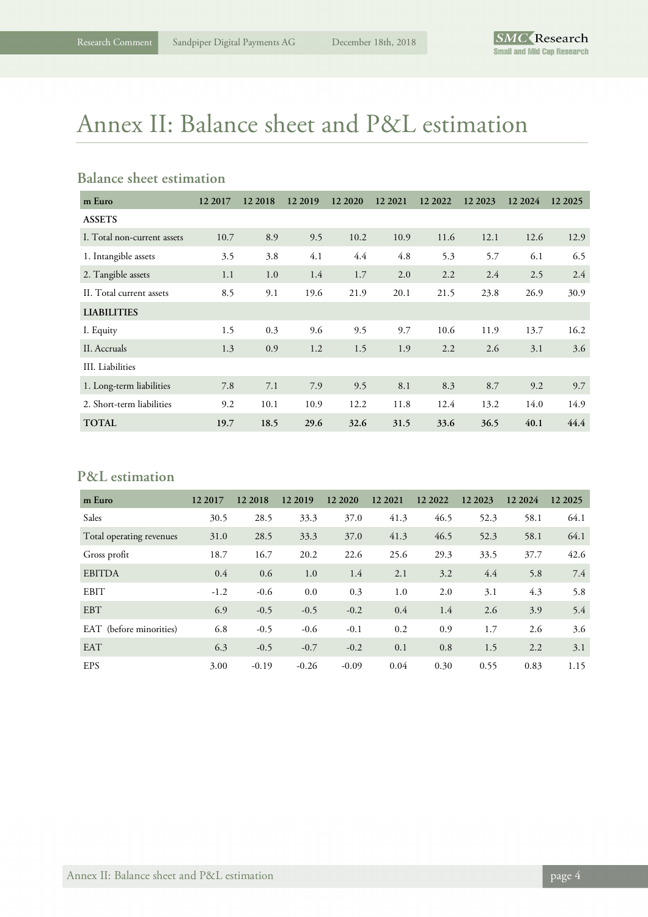# Annex II: Balance sheet and P&L estimation

### **Balance sheet estimation**

| m Euro                      | 12 2017 | 12 2018 | 12 2019 | 12 20 20 | 12 2021 | 12 2022 | 12 2023 | 12 2024 | 12 2025 |
|-----------------------------|---------|---------|---------|----------|---------|---------|---------|---------|---------|
| <b>ASSETS</b>               |         |         |         |          |         |         |         |         |         |
| I. Total non-current assets | 10.7    | 8.9     | 9.5     | 10.2     | 10.9    | 11.6    | 12.1    | 12.6    | 12.9    |
| 1. Intangible assets        | 3.5     | 3.8     | 4.1     | 4.4      | 4.8     | 5.3     | 5.7     | 6.1     | 6.5     |
| 2. Tangible assets          | 1.1     | 1.0     | 1.4     | 1.7      | 2.0     | 2.2     | 2.4     | 2.5     | 2.4     |
| II. Total current assets    | 8.5     | 9.1     | 19.6    | 21.9     | 20.1    | 21.5    | 23.8    | 26.9    | 30.9    |
| <b>LIABILITIES</b>          |         |         |         |          |         |         |         |         |         |
| I. Equity                   | 1.5     | 0.3     | 9.6     | 9.5      | 9.7     | 10.6    | 11.9    | 13.7    | 16.2    |
| II. Accruals                | 1.3     | 0.9     | 1.2     | 1.5      | 1.9     | 2.2     | 2.6     | 3.1     | 3.6     |
| III. Liabilities            |         |         |         |          |         |         |         |         |         |
| 1. Long-term liabilities    | 7.8     | 7.1     | 7.9     | 9.5      | 8.1     | 8.3     | 8.7     | 9.2     | 9.7     |
| 2. Short-term liabilities   | 9.2     | 10.1    | 10.9    | 12.2     | 11.8    | 12.4    | 13.2    | 14.0    | 14.9    |
| <b>TOTAL</b>                | 19.7    | 18.5    | 29.6    | 32.6     | 31.5    | 33.6    | 36.5    | 40.1    | 44.4    |

### **P&L estimation**

| m Euro                   | 12 2017 | 12 2018 | 12 2019 | 12 20 20 | 12 2021 | 12 2022 | 12 2023 | 12 20 24 | 12 2025 |
|--------------------------|---------|---------|---------|----------|---------|---------|---------|----------|---------|
| Sales                    | 30.5    | 28.5    | 33.3    | 37.0     | 41.3    | 46.5    | 52.3    | 58.1     | 64.1    |
| Total operating revenues | 31.0    | 28.5    | 33.3    | 37.0     | 41.3    | 46.5    | 52.3    | 58.1     | 64.1    |
| Gross profit             | 18.7    | 16.7    | 20.2    | 22.6     | 25.6    | 29.3    | 33.5    | 37.7     | 42.6    |
| <b>EBITDA</b>            | 0.4     | 0.6     | 1.0     | 1.4      | 2.1     | 3.2     | 4.4     | 5.8      | 7.4     |
| EBIT                     | $-1.2$  | $-0.6$  | 0.0     | 0.3      | 1.0     | 2.0     | 3.1     | 4.3      | 5.8     |
| <b>EBT</b>               | 6.9     | $-0.5$  | $-0.5$  | $-0.2$   | 0.4     | 1.4     | 2.6     | 3.9      | 5.4     |
| EAT (before minorities)  | 6.8     | $-0.5$  | $-0.6$  | $-0.1$   | 0.2     | 0.9     | 1.7     | 2.6      | 3.6     |
| <b>EAT</b>               | 6.3     | $-0.5$  | $-0.7$  | $-0.2$   | 0.1     | 0.8     | 1.5     | 2.2      | 3.1     |
| <b>EPS</b>               | 3.00    | $-0.19$ | $-0.26$ | $-0.09$  | 0.04    | 0.30    | 0.55    | 0.83     | 1.15    |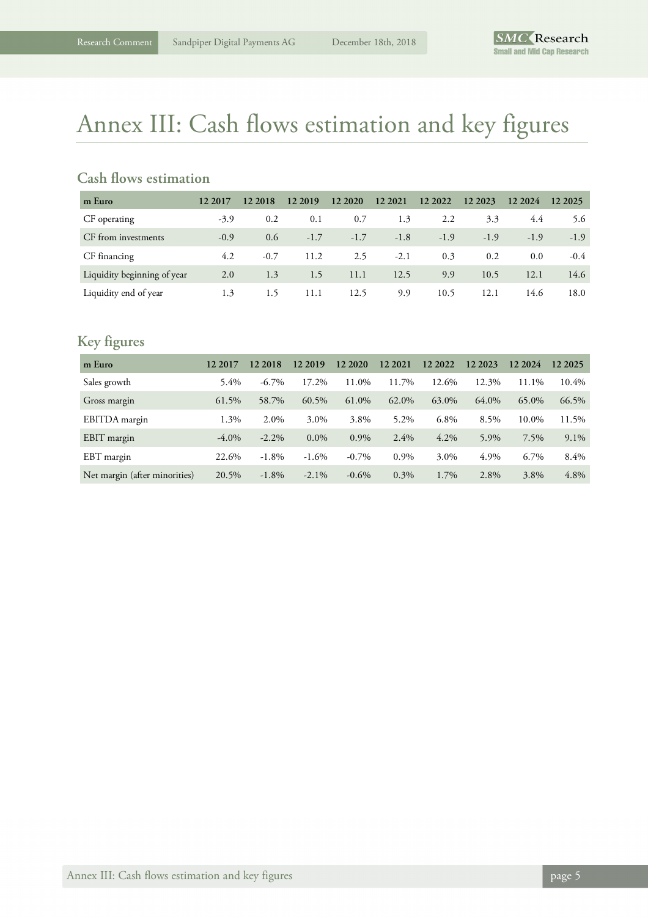# Annex III: Cash flows estimation and key figures

### **Cash flows estimation**

| m Euro                      | 12 2017 | 12 2018 | 12 2019 | 12 20 20 | 12 2021 | 12 2022 | 12 2023 | 12 2024 | 12 2025 |
|-----------------------------|---------|---------|---------|----------|---------|---------|---------|---------|---------|
| CF operating                | $-3.9$  | 0.2     | 0.1     | 0.7      | 1.3     | 2.2     | 3.3     | 4.4     | 5.6     |
| CF from investments         | $-0.9$  | 0.6     | $-1.7$  | $-1.7$   | $-1.8$  | $-1.9$  | $-1.9$  | $-1.9$  | $-1.9$  |
| CF financing                | 4.2     | $-0.7$  | 11.2    | 2.5      | $-2.1$  | 0.3     | 0.2     | 0.0     | $-0.4$  |
| Liquidity beginning of year | 2.0     | 1.3     | 1.5     | 11.1     | 12.5    | 9.9     | 10.5    | 12.1    | 14.6    |
| Liquidity end of year       | 1.3     | 1.5     | 11.1    | 12.5     | 9.9     | 10.5    | 12.1    | 14.6    | 18.0    |

### **Key figures**

| m Euro                        | 12 2017  | 12 2018  | 12 2019  | 12 20 20 | 12 2021 | 12 2022 | 12 2023 | 12 2024 | 12 2025 |
|-------------------------------|----------|----------|----------|----------|---------|---------|---------|---------|---------|
| Sales growth                  | $5.4\%$  | $-6.7\%$ | 17.2%    | 11.0%    | 11.7%   | 12.6%   | 12.3%   | 11.1%   | 10.4%   |
| Gross margin                  | 61.5%    | 58.7%    | 60.5%    | 61.0%    | 62.0%   | 63.0%   | 64.0%   | 65.0%   | 66.5%   |
| EBITDA margin                 | 1.3%     | 2.0%     | 3.0%     | 3.8%     | 5.2%    | 6.8%    | 8.5%    | 10.0%   | 11.5%   |
| EBIT margin                   | $-4.0\%$ | $-2.2\%$ | $0.0\%$  | $0.9\%$  | 2.4%    | $4.2\%$ | 5.9%    | 7.5%    | $9.1\%$ |
| EBT margin                    | 22.6%    | $-1.8%$  | $-1.6%$  | $-0.7\%$ | $0.9\%$ | 3.0%    | 4.9%    | 6.7%    | 8.4%    |
| Net margin (after minorities) | 20.5%    | $-1.8\%$ | $-2.1\%$ | $-0.6\%$ | $0.3\%$ | 1.7%    | 2.8%    | 3.8%    | 4.8%    |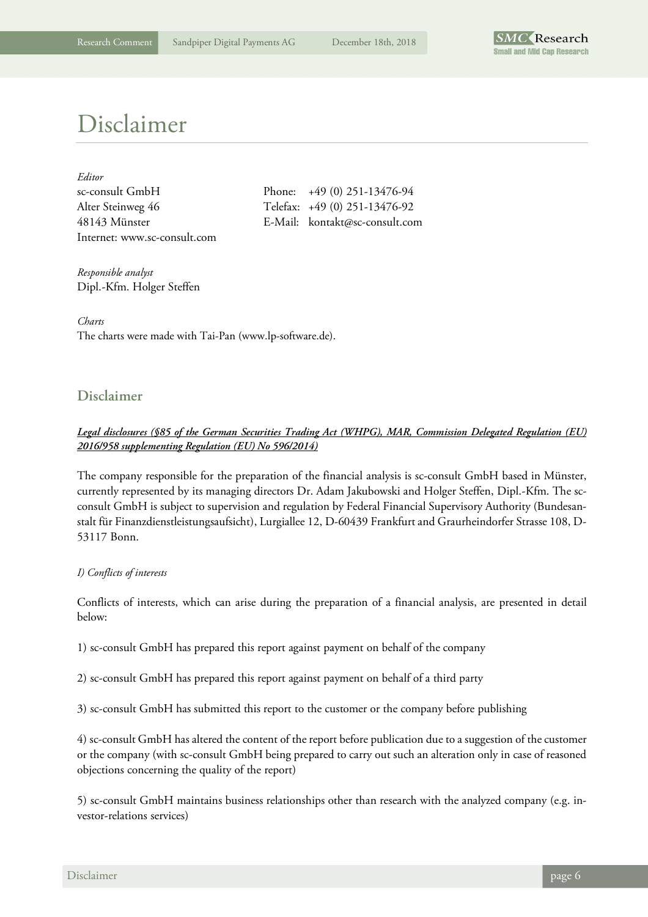

### Disclaimer

| Editor                       |
|------------------------------|
| sc-consult GmbH              |
| Alter Steinweg 46            |
| 48143 Münster                |
| Internet: www.sc-consult.com |

Phone:  $+49 (0) 251-13476-94$ Telefax: +49 (0) 251-13476-92 E-Mail: kontakt@sc-consult.com

*Responsible analyst*  Dipl.-Kfm. Holger Steffen

*Charts*  The charts were made with Tai-Pan (www.lp-software.de).

### **Disclaimer**

### *Legal disclosures (§85 of the German Securities Trading Act (WHPG), MAR, Commission Delegated Regulation (EU) 2016/958 supplementing Regulation (EU) No 596/2014)*

The company responsible for the preparation of the financial analysis is sc-consult GmbH based in Münster, currently represented by its managing directors Dr. Adam Jakubowski and Holger Steffen, Dipl.-Kfm. The scconsult GmbH is subject to supervision and regulation by Federal Financial Supervisory Authority (Bundesanstalt für Finanzdienstleistungsaufsicht), Lurgiallee 12, D-60439 Frankfurt and Graurheindorfer Strasse 108, D-53117 Bonn.

### *I) Conflicts of interests*

Conflicts of interests, which can arise during the preparation of a financial analysis, are presented in detail below:

1) sc-consult GmbH has prepared this report against payment on behalf of the company

2) sc-consult GmbH has prepared this report against payment on behalf of a third party

3) sc-consult GmbH has submitted this report to the customer or the company before publishing

4) sc-consult GmbH has altered the content of the report before publication due to a suggestion of the customer or the company (with sc-consult GmbH being prepared to carry out such an alteration only in case of reasoned objections concerning the quality of the report)

5) sc-consult GmbH maintains business relationships other than research with the analyzed company (e.g. investor-relations services)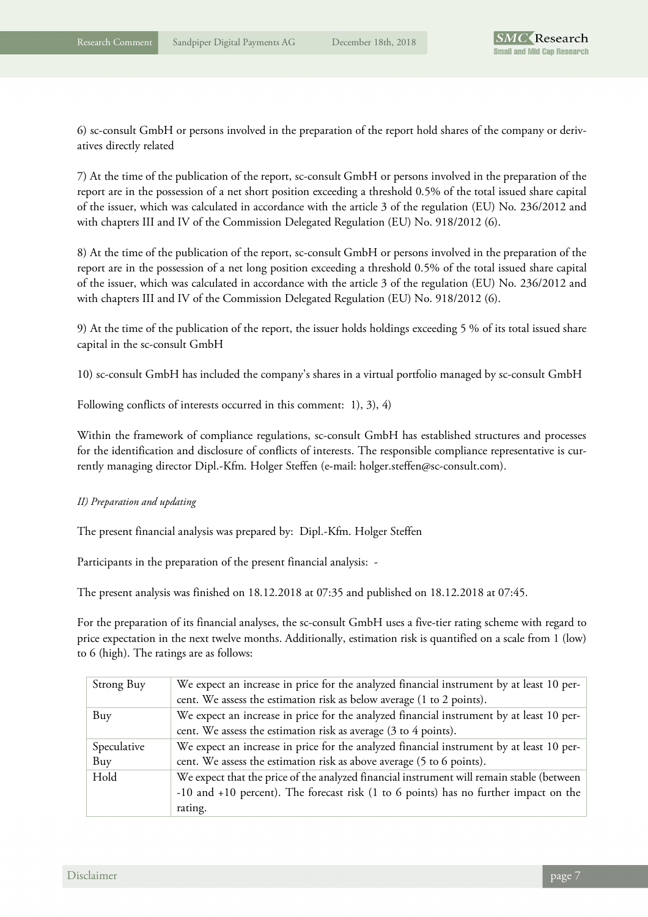6) sc-consult GmbH or persons involved in the preparation of the report hold shares of the company or derivatives directly related

7) At the time of the publication of the report, sc-consult GmbH or persons involved in the preparation of the report are in the possession of a net short position exceeding a threshold 0.5% of the total issued share capital of the issuer, which was calculated in accordance with the article 3 of the regulation (EU) No. 236/2012 and with chapters III and IV of the Commission Delegated Regulation (EU) No. 918/2012 (6).

8) At the time of the publication of the report, sc-consult GmbH or persons involved in the preparation of the report are in the possession of a net long position exceeding a threshold 0.5% of the total issued share capital of the issuer, which was calculated in accordance with the article 3 of the regulation (EU) No. 236/2012 and with chapters III and IV of the Commission Delegated Regulation (EU) No. 918/2012 (6).

9) At the time of the publication of the report, the issuer holds holdings exceeding 5 % of its total issued share capital in the sc-consult GmbH

10) sc-consult GmbH has included the company's shares in a virtual portfolio managed by sc-consult GmbH

Following conflicts of interests occurred in this comment: 1), 3), 4)

Within the framework of compliance regulations, sc-consult GmbH has established structures and processes for the identification and disclosure of conflicts of interests. The responsible compliance representative is currently managing director Dipl.-Kfm. Holger Steffen (e-mail: holger.steffen@sc-consult.com).

#### *II) Preparation and updating*

The present financial analysis was prepared by: Dipl.-Kfm. Holger Steffen

Participants in the preparation of the present financial analysis: -

The present analysis was finished on 18.12.2018 at 07:35 and published on 18.12.2018 at 07:45.

For the preparation of its financial analyses, the sc-consult GmbH uses a five-tier rating scheme with regard to price expectation in the next twelve months. Additionally, estimation risk is quantified on a scale from 1 (low) to 6 (high). The ratings are as follows:

| Strong Buy  | We expect an increase in price for the analyzed financial instrument by at least 10 per-<br>cent. We assess the estimation risk as below average (1 to 2 points). |
|-------------|-------------------------------------------------------------------------------------------------------------------------------------------------------------------|
| Buy         | We expect an increase in price for the analyzed financial instrument by at least 10 per-                                                                          |
|             | cent. We assess the estimation risk as average (3 to 4 points).                                                                                                   |
| Speculative | We expect an increase in price for the analyzed financial instrument by at least 10 per-                                                                          |
| Buy         | cent. We assess the estimation risk as above average (5 to 6 points).                                                                                             |
| Hold        | We expect that the price of the analyzed financial instrument will remain stable (between                                                                         |
|             | $-10$ and $+10$ percent). The forecast risk (1 to 6 points) has no further impact on the                                                                          |
|             | rating.                                                                                                                                                           |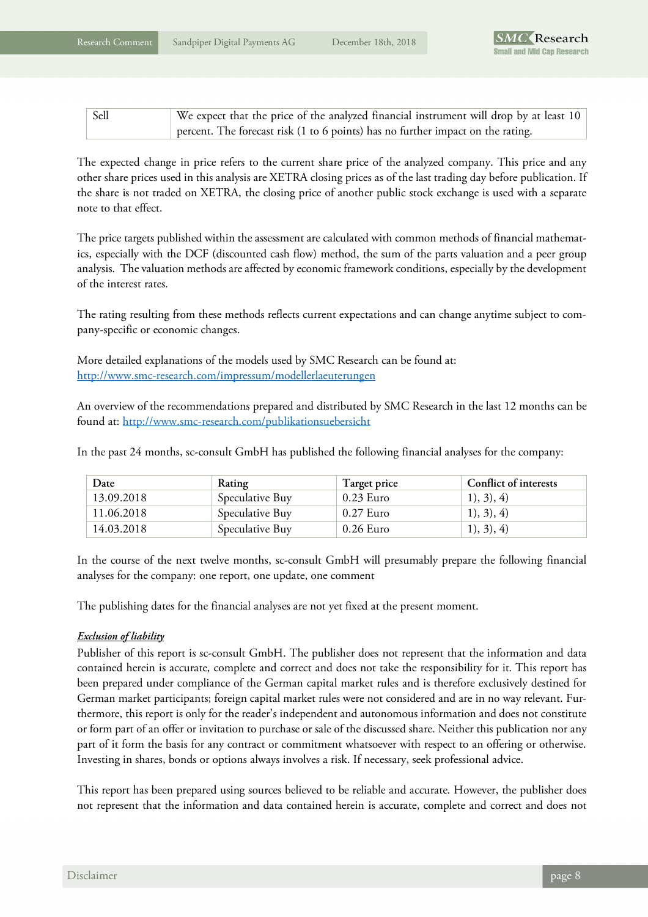| Sell | We expect that the price of the analyzed financial instrument will drop by at least 10 |
|------|----------------------------------------------------------------------------------------|
|      | percent. The forecast risk (1 to 6 points) has no further impact on the rating.        |

The expected change in price refers to the current share price of the analyzed company. This price and any other share prices used in this analysis are XETRA closing prices as of the last trading day before publication. If the share is not traded on XETRA, the closing price of another public stock exchange is used with a separate note to that effect.

The price targets published within the assessment are calculated with common methods of financial mathematics, especially with the DCF (discounted cash flow) method, the sum of the parts valuation and a peer group analysis. The valuation methods are affected by economic framework conditions, especially by the development of the interest rates.

The rating resulting from these methods reflects current expectations and can change anytime subject to company-specific or economic changes.

More detailed explanations of the models used by SMC Research can be found at: http://www.smc-research.com/impressum/modellerlaeuterungen

An overview of the recommendations prepared and distributed by SMC Research in the last 12 months can be found at: http://www.smc-research.com/publikationsuebersicht

In the past 24 months, sc-consult GmbH has published the following financial analyses for the company:

| Date       | Rating          | Target price | <b>Conflict of interests</b> |
|------------|-----------------|--------------|------------------------------|
| 13.09.2018 | Speculative Buy | $0.23$ Euro  | 1), 3), 4)                   |
| 11.06.2018 | Speculative Buy | $0.27$ Euro  | 1), 3), 4)                   |
| 14.03.2018 | Speculative Buy | $0.26$ Euro  | 1), 3), 4)                   |

In the course of the next twelve months, sc-consult GmbH will presumably prepare the following financial analyses for the company: one report, one update, one comment

The publishing dates for the financial analyses are not yet fixed at the present moment.

### *Exclusion of liability*

Publisher of this report is sc-consult GmbH. The publisher does not represent that the information and data contained herein is accurate, complete and correct and does not take the responsibility for it. This report has been prepared under compliance of the German capital market rules and is therefore exclusively destined for German market participants; foreign capital market rules were not considered and are in no way relevant. Furthermore, this report is only for the reader's independent and autonomous information and does not constitute or form part of an offer or invitation to purchase or sale of the discussed share. Neither this publication nor any part of it form the basis for any contract or commitment whatsoever with respect to an offering or otherwise. Investing in shares, bonds or options always involves a risk. If necessary, seek professional advice.

This report has been prepared using sources believed to be reliable and accurate. However, the publisher does not represent that the information and data contained herein is accurate, complete and correct and does not